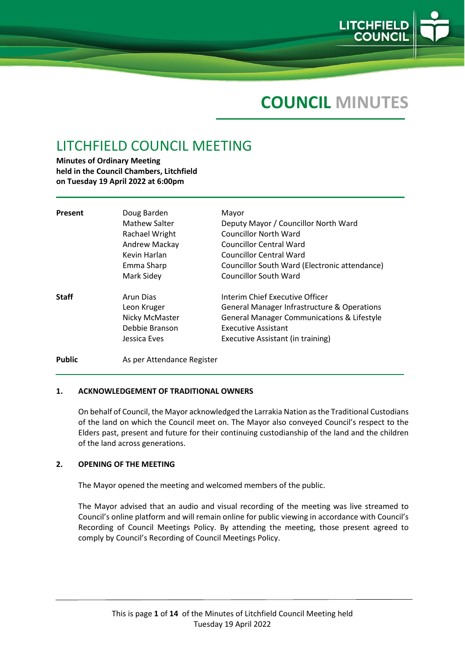

# **COUNCIL MINUTES**

## LITCHFIELD COUNCIL MEETING

**Minutes of Ordinary Meeting held in the Council Chambers, Litchfield on Tuesday 19 April 2022 at 6:00pm**

| Present      | Doug Barden<br><b>Mathew Salter</b><br>Rachael Wright<br>Andrew Mackay<br>Kevin Harlan<br>Emma Sharp<br>Mark Sidey | Mayor<br>Deputy Mayor / Councillor North Ward<br><b>Councillor North Ward</b><br><b>Councillor Central Ward</b><br><b>Councillor Central Ward</b><br>Councillor South Ward (Electronic attendance)<br>Councillor South Ward |
|--------------|--------------------------------------------------------------------------------------------------------------------|-----------------------------------------------------------------------------------------------------------------------------------------------------------------------------------------------------------------------------|
| <b>Staff</b> | Arun Dias<br>Leon Kruger<br>Nicky McMaster<br>Debbie Branson<br>Jessica Eves                                       | Interim Chief Executive Officer<br>General Manager Infrastructure & Operations<br><b>General Manager Communications &amp; Lifestyle</b><br><b>Executive Assistant</b><br>Executive Assistant (in training)                  |

## Public **As per Attendance Register**

## **1. ACKNOWLEDGEMENT OF TRADITIONAL OWNERS**

On behalf of Council, the Mayor acknowledged the Larrakia Nation as the Traditional Custodians of the land on which the Council meet on. The Mayor also conveyed Council's respect to the Elders past, present and future for their continuing custodianship of the land and the children of the land across generations.

## **2. OPENING OF THE MEETING**

The Mayor opened the meeting and welcomed members of the public.

The Mayor advised that an audio and visual recording of the meeting was live streamed to Council's online platform and will remain online for public viewing in accordance with Council's Recording of Council Meetings Policy. By attending the meeting, those present agreed to comply by Council's Recording of Council Meetings Policy.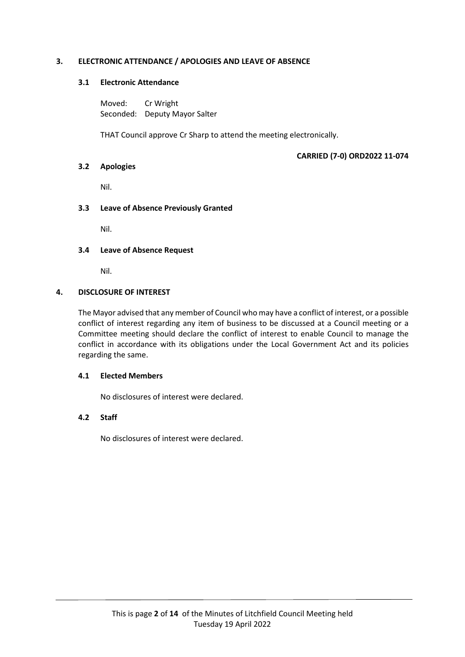## **3. ELECTRONIC ATTENDANCE / APOLOGIES AND LEAVE OF ABSENCE**

## **3.1 Electronic Attendance**

Moved: Cr Wright Seconded: Deputy Mayor Salter

THAT Council approve Cr Sharp to attend the meeting electronically.

## **CARRIED (7-0) ORD2022 11-074**

## **3.2 Apologies**

Nil.

## **3.3 Leave of Absence Previously Granted**

Nil.

## **3.4 Leave of Absence Request**

Nil.

## **4. DISCLOSURE OF INTEREST**

The Mayor advised that any member of Council who may have a conflict of interest, or a possible conflict of interest regarding any item of business to be discussed at a Council meeting or a Committee meeting should declare the conflict of interest to enable Council to manage the conflict in accordance with its obligations under the Local Government Act and its policies regarding the same.

## **4.1 Elected Members**

No disclosures of interest were declared.

## **4.2 Staff**

No disclosures of interest were declared.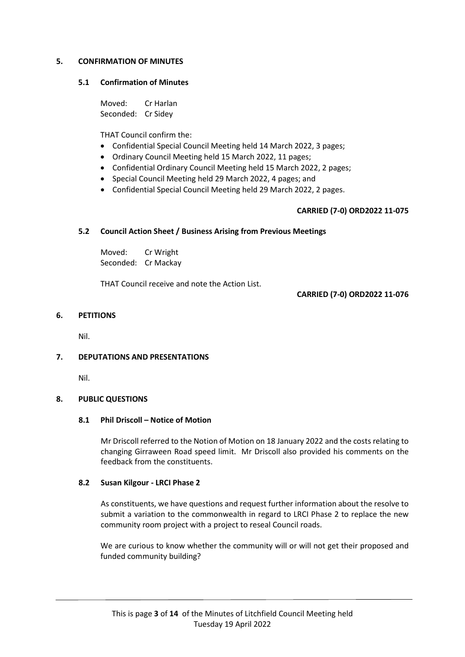## **5. CONFIRMATION OF MINUTES**

#### **5.1 Confirmation of Minutes**

Moved: Cr Harlan Seconded: Cr Sidey

THAT Council confirm the:

- Confidential Special Council Meeting held 14 March 2022, 3 pages;
- Ordinary Council Meeting held 15 March 2022, 11 pages;
- Confidential Ordinary Council Meeting held 15 March 2022, 2 pages;
- Special Council Meeting held 29 March 2022, 4 pages; and
- Confidential Special Council Meeting held 29 March 2022, 2 pages.

## **CARRIED (7-0) ORD2022 11-075**

## **5.2 Council Action Sheet / Business Arising from Previous Meetings**

Moved: Cr Wright Seconded: Cr Mackay

THAT Council receive and note the Action List.

**CARRIED (7-0) ORD2022 11-076**

## **6. PETITIONS**

Nil.

## **7. DEPUTATIONS AND PRESENTATIONS**

Nil.

## **8. PUBLIC QUESTIONS**

## **8.1 Phil Driscoll – Notice of Motion**

Mr Driscoll referred to the Notion of Motion on 18 January 2022 and the costs relating to changing Girraween Road speed limit. Mr Driscoll also provided his comments on the feedback from the constituents.

## **8.2 Susan Kilgour - LRCI Phase 2**

As constituents, we have questions and request further information about the resolve to submit a variation to the commonwealth in regard to LRCI Phase 2 to replace the new community room project with a project to reseal Council roads.

We are curious to know whether the community will or will not get their proposed and funded community building?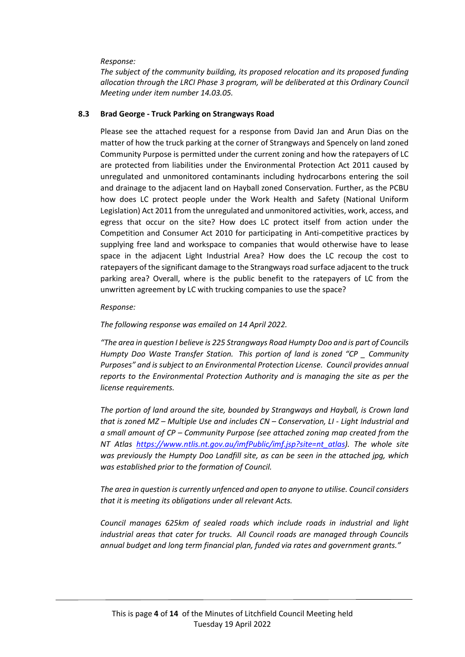## *Response:*

*The subject of the community building, its proposed relocation and its proposed funding allocation through the LRCI Phase 3 program, will be deliberated at this Ordinary Council Meeting under item number 14.03.05.*

## **8.3 Brad George - Truck Parking on Strangways Road**

Please see the attached request for a response from David Jan and Arun Dias on the matter of how the truck parking at the corner of Strangways and Spencely on land zoned Community Purpose is permitted under the current zoning and how the ratepayers of LC are protected from liabilities under the Environmental Protection Act 2011 caused by unregulated and unmonitored contaminants including hydrocarbons entering the soil and drainage to the adjacent land on Hayball zoned Conservation. Further, as the PCBU how does LC protect people under the Work Health and Safety (National Uniform Legislation) Act 2011 from the unregulated and unmonitored activities, work, access, and egress that occur on the site? How does LC protect itself from action under the Competition and Consumer Act 2010 for participating in Anti-competitive practices by supplying free land and workspace to companies that would otherwise have to lease space in the adjacent Light Industrial Area? How does the LC recoup the cost to ratepayers of the significant damage to the Strangways road surface adjacent to the truck parking area? Overall, where is the public benefit to the ratepayers of LC from the unwritten agreement by LC with trucking companies to use the space?

## *Response:*

## *The following response was emailed on 14 April 2022.*

*"The area in question I believe is 225 Strangways Road Humpty Doo and is part of Councils Humpty Doo Waste Transfer Station. This portion of land is zoned "CP \_ Community Purposes" and is subject to an Environmental Protection License. Council provides annual reports to the Environmental Protection Authority and is managing the site as per the license requirements.*

*The portion of land around the site, bounded by Strangways and Hayball, is Crown land that is zoned MZ – Multiple Use and includes CN – Conservation, LI - Light Industrial and a small amount of CP – Community Purpose (see attached zoning map created from the NT Atlas [https://www.ntlis.nt.gov.au/imfPublic/imf.jsp?site=nt\\_atlas\)](https://www.ntlis.nt.gov.au/imfPublic/imf.jsp?site=nt_atlas). The whole site was previously the Humpty Doo Landfill site, as can be seen in the attached jpg, which was established prior to the formation of Council.*

*The area in question is currently unfenced and open to anyone to utilise. Council considers that it is meeting its obligations under all relevant Acts.*

*Council manages 625km of sealed roads which include roads in industrial and light industrial areas that cater for trucks. All Council roads are managed through Councils annual budget and long term financial plan, funded via rates and government grants."*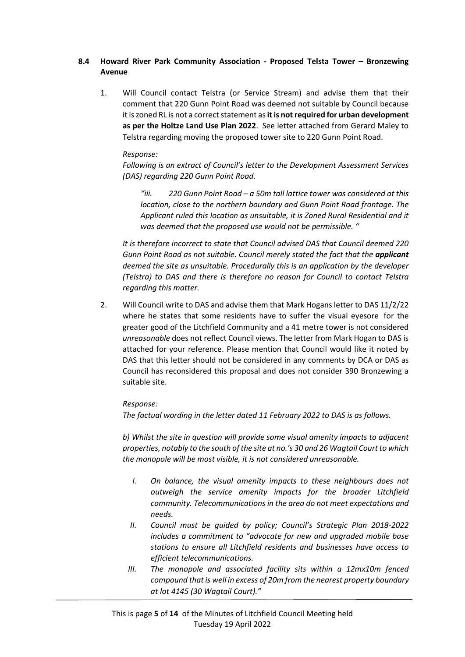## **8.4 Howard River Park Community Association - Proposed Telsta Tower – Bronzewing Avenue**

1. Will Council contact Telstra (or Service Stream) and advise them that their comment that 220 Gunn Point Road was deemed not suitable by Council because it is zoned RL is not a correct statement as **it is notrequired for urban development as per the Holtze Land Use Plan 2022**. See letter attached from Gerard Maley to Telstra regarding moving the proposed tower site to 220 Gunn Point Road.

## *Response:*

*Following is an extract of Council's letter to the Development Assessment Services (DAS) regarding 220 Gunn Point Road.*

*"iii. 220 Gunn Point Road – a 50m tall lattice tower was considered at this location, close to the northern boundary and Gunn Point Road frontage. The Applicant ruled this location as unsuitable, it is Zoned Rural Residential and it was deemed that the proposed use would not be permissible. "*

*It is therefore incorrect to state that Council advised DAS that Council deemed 220 Gunn Point Road as not suitable. Council merely stated the fact that the applicant deemed the site as unsuitable. Procedurally this is an application by the developer (Telstra) to DAS and there is therefore no reason for Council to contact Telstra regarding this matter.*

2. Will Council write to DAS and advise them that Mark Hogans letter to DAS 11/2/22 where he states that some residents have to suffer the visual eyesore for the greater good of the Litchfield Community and a 41 metre tower is not considered *unreasonable* does not reflect Council views. The letter from Mark Hogan to DAS is attached for your reference. Please mention that Council would like it noted by DAS that this letter should not be considered in any comments by DCA or DAS as Council has reconsidered this proposal and does not consider 390 Bronzewing a suitable site.

## *Response:*

*The factual wording in the letter dated 11 February 2022 to DAS is as follows.*

*b) Whilst the site in question will provide some visual amenity impacts to adjacent properties, notably to the south of the site at no.'s 30 and 26 Wagtail Court to which the monopole will be most visible, it is not considered unreasonable.*

- *I. On balance, the visual amenity impacts to these neighbours does not outweigh the service amenity impacts for the broader Litchfield community. Telecommunications in the area do not meet expectations and needs.*
- *II. Council must be guided by policy; Council's Strategic Plan 2018-2022 includes a commitment to "advocate for new and upgraded mobile base stations to ensure all Litchfield residents and businesses have access to efficient telecommunications.*
- *III. The monopole and associated facility sits within a 12mx10m fenced compound that is well in excess of 20m from the nearest property boundary at lot 4145 (30 Wagtail Court)."*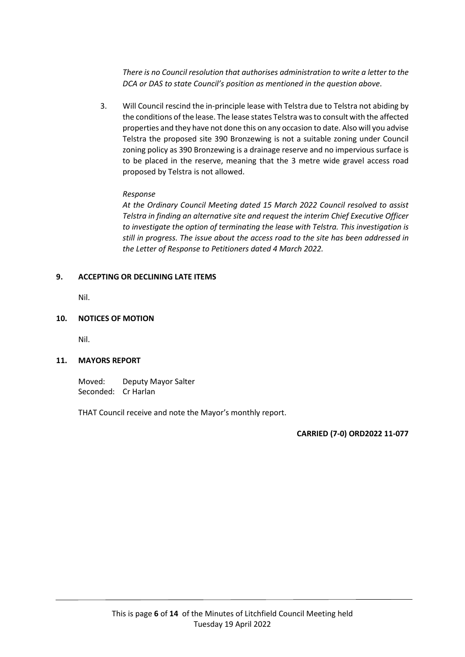*There is no Council resolution that authorises administration to write a letter to the DCA or DAS to state Council's position as mentioned in the question above*.

3. Will Council rescind the in-principle lease with Telstra due to Telstra not abiding by the conditions of the lease. The lease states Telstra was to consult with the affected properties and they have not done this on any occasion to date. Also will you advise Telstra the proposed site 390 Bronzewing is not a suitable zoning under Council zoning policy as 390 Bronzewing is a drainage reserve and no impervious surface is to be placed in the reserve, meaning that the 3 metre wide gravel access road proposed by Telstra is not allowed.

## *Response*

*At the Ordinary Council Meeting dated 15 March 2022 Council resolved to assist Telstra in finding an alternative site and request the interim Chief Executive Officer to investigate the option of terminating the lease with Telstra. This investigation is still in progress. The issue about the access road to the site has been addressed in the Letter of Response to Petitioners dated 4 March 2022.*

## **9. ACCEPTING OR DECLINING LATE ITEMS**

Nil.

## **10. NOTICES OF MOTION**

Nil.

## **11. MAYORS REPORT**

Moved: Deputy Mayor Salter Seconded: Cr Harlan

THAT Council receive and note the Mayor's monthly report.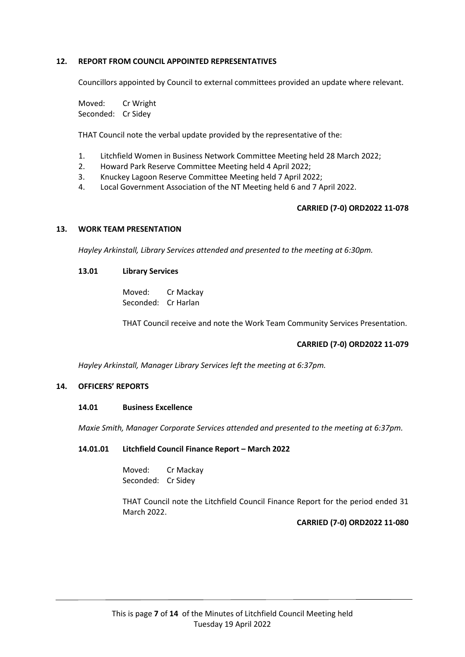## **12. REPORT FROM COUNCIL APPOINTED REPRESENTATIVES**

Councillors appointed by Council to external committees provided an update where relevant.

Moved: Cr Wright Seconded: Cr Sidey

THAT Council note the verbal update provided by the representative of the:

- 1. Litchfield Women in Business Network Committee Meeting held 28 March 2022;
- 2. Howard Park Reserve Committee Meeting held 4 April 2022;
- 3. Knuckey Lagoon Reserve Committee Meeting held 7 April 2022;
- 4. Local Government Association of the NT Meeting held 6 and 7 April 2022.

#### **CARRIED (7-0) ORD2022 11-078**

#### **13. WORK TEAM PRESENTATION**

*Hayley Arkinstall, Library Services attended and presented to the meeting at 6:30pm.*

## **13.01 Library Services**

Moved: Cr Mackay Seconded: Cr Harlan

THAT Council receive and note the Work Team Community Services Presentation.

## **CARRIED (7-0) ORD2022 11-079**

*Hayley Arkinstall, Manager Library Services left the meeting at 6:37pm.*

## **14. OFFICERS' REPORTS**

#### **14.01 Business Excellence**

*Maxie Smith, Manager Corporate Services attended and presented to the meeting at 6:37pm.*

#### **14.01.01 Litchfield Council Finance Report – March 2022**

Moved: Cr Mackay Seconded: Cr Sidey

THAT Council note the Litchfield Council Finance Report for the period ended 31 March 2022.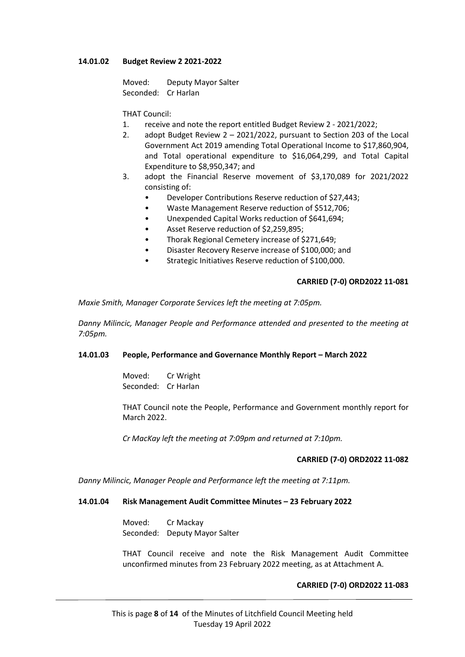## **14.01.02 Budget Review 2 2021-2022**

Moved: Deputy Mayor Salter Seconded: Cr Harlan

## THAT Council:

- 1. receive and note the report entitled Budget Review 2 2021/2022;
- 2. adopt Budget Review 2 2021/2022, pursuant to Section 203 of the Local Government Act 2019 amending Total Operational Income to \$17,860,904, and Total operational expenditure to \$16,064,299, and Total Capital Expenditure to \$8,950,347; and
- 3. adopt the Financial Reserve movement of \$3,170,089 for 2021/2022 consisting of:
	- Developer Contributions Reserve reduction of \$27,443;
	- Waste Management Reserve reduction of \$512,706;
	- Unexpended Capital Works reduction of \$641,694;
	- Asset Reserve reduction of \$2,259,895;
	- Thorak Regional Cemetery increase of \$271,649;
	- Disaster Recovery Reserve increase of \$100,000; and
	- Strategic Initiatives Reserve reduction of \$100,000.

#### **CARRIED (7-0) ORD2022 11-081**

*Maxie Smith, Manager Corporate Services left the meeting at 7:05pm.*

*Danny Milincic, Manager People and Performance attended and presented to the meeting at 7:05pm.*

#### **14.01.03 People, Performance and Governance Monthly Report – March 2022**

Moved: Cr Wright Seconded: Cr Harlan

THAT Council note the People, Performance and Government monthly report for March 2022.

*Cr MacKay left the meeting at 7:09pm and returned at 7:10pm.*

#### **CARRIED (7-0) ORD2022 11-082**

*Danny Milincic, Manager People and Performance left the meeting at 7:11pm.*

#### **14.01.04 Risk Management Audit Committee Minutes – 23 February 2022**

Moved: Cr Mackay Seconded: Deputy Mayor Salter

THAT Council receive and note the Risk Management Audit Committee unconfirmed minutes from 23 February 2022 meeting, as at Attachment A.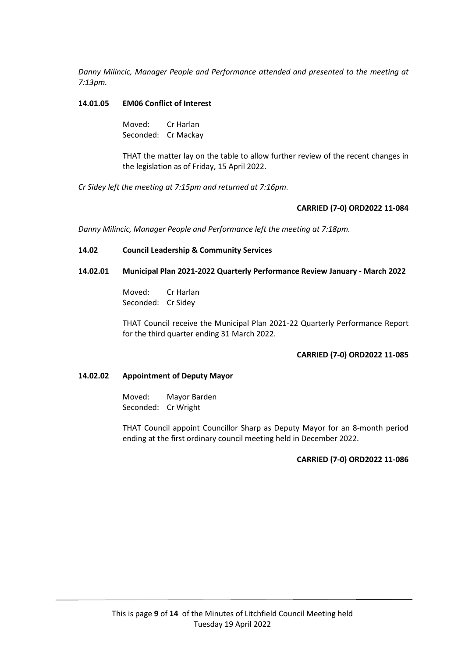*Danny Milincic, Manager People and Performance attended and presented to the meeting at 7:13pm.*

## **14.01.05 EM06 Conflict of Interest**

Moved: Cr Harlan Seconded: Cr Mackay

THAT the matter lay on the table to allow further review of the recent changes in the legislation as of Friday, 15 April 2022.

*Cr Sidey left the meeting at 7:15pm and returned at 7:16pm.*

#### **CARRIED (7-0) ORD2022 11-084**

*Danny Milincic, Manager People and Performance left the meeting at 7:18pm.*

#### **14.02 Council Leadership & Community Services**

## **14.02.01 Municipal Plan 2021-2022 Quarterly Performance Review January - March 2022**

Moved: Cr Harlan Seconded: Cr Sidey

THAT Council receive the Municipal Plan 2021-22 Quarterly Performance Report for the third quarter ending 31 March 2022.

#### **CARRIED (7-0) ORD2022 11-085**

## **14.02.02 Appointment of Deputy Mayor**

Moved: Mayor Barden Seconded: Cr Wright

THAT Council appoint Councillor Sharp as Deputy Mayor for an 8-month period ending at the first ordinary council meeting held in December 2022.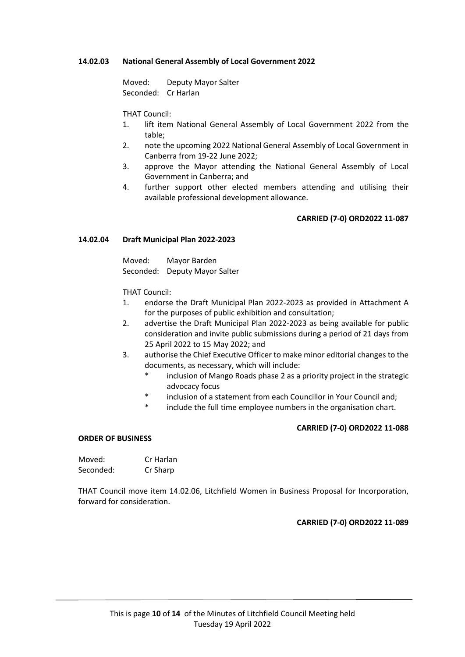## **14.02.03 National General Assembly of Local Government 2022**

Moved: Deputy Mayor Salter Seconded: Cr Harlan

THAT Council:

- 1. lift item National General Assembly of Local Government 2022 from the table;
- 2. note the upcoming 2022 National General Assembly of Local Government in Canberra from 19-22 June 2022;
- 3. approve the Mayor attending the National General Assembly of Local Government in Canberra; and
- 4. further support other elected members attending and utilising their available professional development allowance.

## **CARRIED (7-0) ORD2022 11-087**

## **14.02.04 Draft Municipal Plan 2022-2023**

Moved: Mayor Barden Seconded: Deputy Mayor Salter

THAT Council:

- 1. endorse the Draft Municipal Plan 2022-2023 as provided in Attachment A for the purposes of public exhibition and consultation;
- 2. advertise the Draft Municipal Plan 2022-2023 as being available for public consideration and invite public submissions during a period of 21 days from 25 April 2022 to 15 May 2022; and
- 3. authorise the Chief Executive Officer to make minor editorial changes to the documents, as necessary, which will include:
	- inclusion of Mango Roads phase 2 as a priority project in the strategic advocacy focus
	- \* inclusion of a statement from each Councillor in Your Council and;
	- \* include the full time employee numbers in the organisation chart.

## **CARRIED (7-0) ORD2022 11-088**

#### **ORDER OF BUSINESS**

| Moved:    | Cr Harlan |
|-----------|-----------|
| Seconded: | Cr Sharp  |

THAT Council move item 14.02.06, Litchfield Women in Business Proposal for Incorporation, forward for consideration.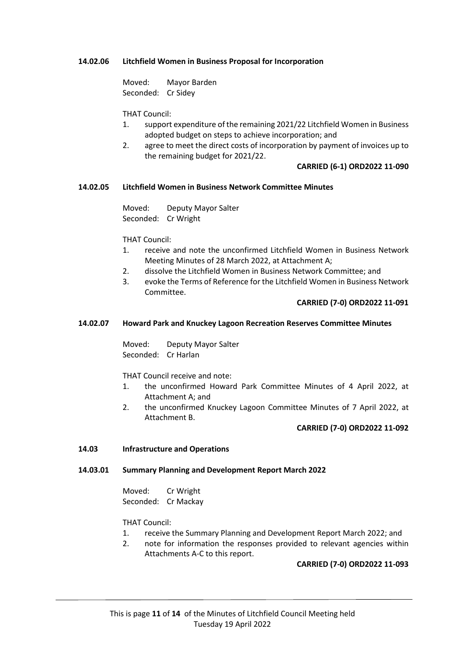## **14.02.06 Litchfield Women in Business Proposal for Incorporation**

Moved: Mayor Barden Seconded: Cr Sidey

THAT Council:

- 1. support expenditure of the remaining 2021/22 Litchfield Women in Business adopted budget on steps to achieve incorporation; and
- 2. agree to meet the direct costs of incorporation by payment of invoices up to the remaining budget for 2021/22.

## **CARRIED (6-1) ORD2022 11-090**

## **14.02.05 Litchfield Women in Business Network Committee Minutes**

Moved: Deputy Mayor Salter Seconded: Cr Wright

THAT Council:

- 1. receive and note the unconfirmed Litchfield Women in Business Network Meeting Minutes of 28 March 2022, at Attachment A;
- 2. dissolve the Litchfield Women in Business Network Committee; and
- 3. evoke the Terms of Reference for the Litchfield Women in Business Network Committee.

## **CARRIED (7-0) ORD2022 11-091**

## **14.02.07 Howard Park and Knuckey Lagoon Recreation Reserves Committee Minutes**

Moved: Deputy Mayor Salter Seconded: Cr Harlan

THAT Council receive and note:

- 1. the unconfirmed Howard Park Committee Minutes of 4 April 2022, at Attachment A; and
- 2. the unconfirmed Knuckey Lagoon Committee Minutes of 7 April 2022, at Attachment B.

## **CARRIED (7-0) ORD2022 11-092**

## **14.03 Infrastructure and Operations**

## **14.03.01 Summary Planning and Development Report March 2022**

Moved: Cr Wright Seconded: Cr Mackay

THAT Council:

- 1. receive the Summary Planning and Development Report March 2022; and
- 2. note for information the responses provided to relevant agencies within Attachments A-C to this report.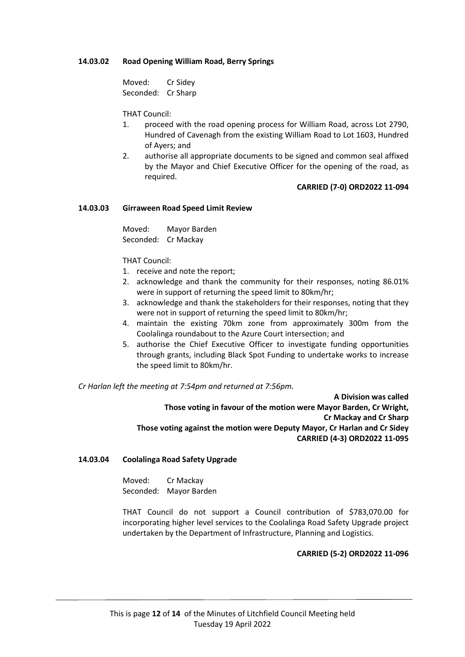## **14.03.02 Road Opening William Road, Berry Springs**

Moved: Cr Sidey Seconded: Cr Sharp

THAT Council:

- 1. proceed with the road opening process for William Road, across Lot 2790, Hundred of Cavenagh from the existing William Road to Lot 1603, Hundred of Ayers; and
- 2. authorise all appropriate documents to be signed and common seal affixed by the Mayor and Chief Executive Officer for the opening of the road, as required.

#### **CARRIED (7-0) ORD2022 11-094**

#### **14.03.03 Girraween Road Speed Limit Review**

Moved: Mayor Barden Seconded: Cr Mackay

THAT Council:

- 1. receive and note the report;
- 2. acknowledge and thank the community for their responses, noting 86.01% were in support of returning the speed limit to 80km/hr;
- 3. acknowledge and thank the stakeholders for their responses, noting that they were not in support of returning the speed limit to 80km/hr;
- 4. maintain the existing 70km zone from approximately 300m from the Coolalinga roundabout to the Azure Court intersection; and
- 5. authorise the Chief Executive Officer to investigate funding opportunities through grants, including Black Spot Funding to undertake works to increase the speed limit to 80km/hr.

*Cr Harlan left the meeting at 7:54pm and returned at 7:56pm.*

**A Division was called Those voting in favour of the motion were Mayor Barden, Cr Wright, Cr Mackay and Cr Sharp Those voting against the motion were Deputy Mayor, Cr Harlan and Cr Sidey CARRIED (4-3) ORD2022 11-095**

#### **14.03.04 Coolalinga Road Safety Upgrade**

Moved: Cr Mackay Seconded: Mayor Barden

THAT Council do not support a Council contribution of \$783,070.00 for incorporating higher level services to the Coolalinga Road Safety Upgrade project undertaken by the Department of Infrastructure, Planning and Logistics.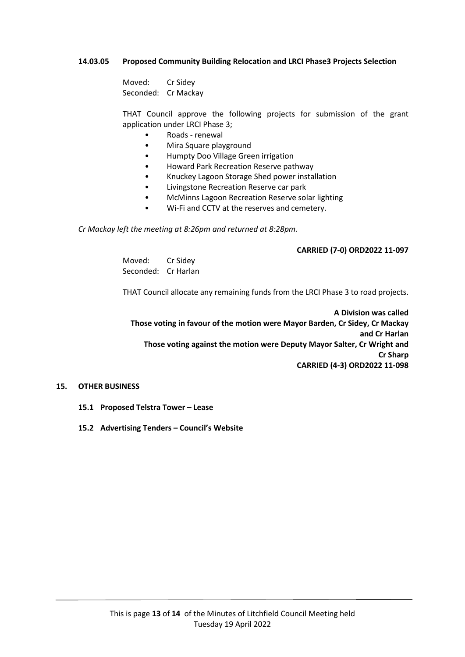## **14.03.05 Proposed Community Building Relocation and LRCI Phase3 Projects Selection**

Moved: Cr Sidey Seconded: Cr Mackay

THAT Council approve the following projects for submission of the grant application under LRCI Phase 3;

- Roads renewal
- Mira Square playground
- Humpty Doo Village Green irrigation
- Howard Park Recreation Reserve pathway
- Knuckey Lagoon Storage Shed power installation
- Livingstone Recreation Reserve car park
- McMinns Lagoon Recreation Reserve solar lighting
- Wi-Fi and CCTV at the reserves and cemetery.

*Cr Mackay left the meeting at 8:26pm and returned at 8:28pm.*

## **CARRIED (7-0) ORD2022 11-097**

Moved: Cr Sidey Seconded: Cr Harlan

THAT Council allocate any remaining funds from the LRCI Phase 3 to road projects.

**A Division was called Those voting in favour of the motion were Mayor Barden, Cr Sidey, Cr Mackay and Cr Harlan Those voting against the motion were Deputy Mayor Salter, Cr Wright and Cr Sharp CARRIED (4-3) ORD2022 11-098**

## **15. OTHER BUSINESS**

- **15.1 Proposed Telstra Tower – Lease**
- **15.2 Advertising Tenders – Council's Website**